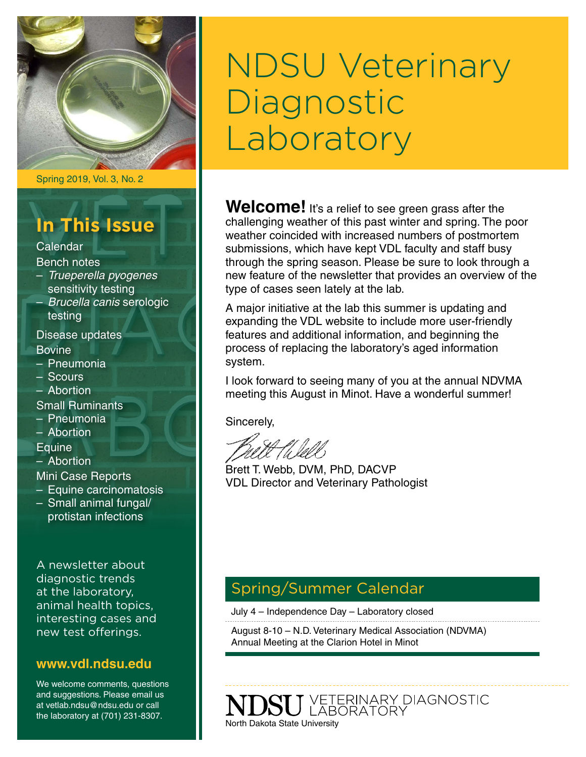

Spring 2019, Vol. 3, No. 2

## **In This Issue**

Calendar Bench notes

– *Trueperella pyogenes* sensitivity testing – *Brucella canis* serologic testing

Disease updates **Bovine** 

- Pneumonia
- Scours
- Abortion

Small Ruminants

- Pneumonia
- Abortion

**Equine** 

– Abortion

Mini Case Reports

- Equine carcinomatosis
- Small animal fungal/ protistan infections

A newsletter about diagnostic trends at the laboratory, animal health topics, interesting cases and new test offerings.

#### **[www.vdl.ndsu.edu](file:///C:\Users\david.haasser\AppData\Local\Microsoft\Windows\Temporary%20Internet%20Files\Content.Outlook\2SAH4N2J\www.ag.ndsu.edu\ansc\)**

We welcome comments, questions and suggestions. Please email us at vetlab.ndsu@ndsu.edu or call the laboratory at (701) 231-8307.

# NDSU Veterinary Diagnostic Laboratory

Welcome! It's a relief to see green grass after the challenging weather of this past winter and spring. The poor weather coincided with increased numbers of postmortem submissions, which have kept VDL faculty and staff busy through the spring season. Please be sure to look through a new feature of the newsletter that provides an overview of the type of cases seen lately at the lab.

A major initiative at the lab this summer is updating and expanding the VDL website to include more user-friendly features and additional information, and beginning the process of replacing the laboratory's aged information system.

I look forward to seeing many of you at the annual NDVMA meeting this August in Minot. Have a wonderful summer!

Sincerely,

Brett T. Webb, DVM, PhD, DACVP VDL Director and Veterinary Pathologist

## Spring/Summer Calendar

July 4 – Independence Day – Laboratory closed

August 8-10 – N.D. Veterinary Medical Association (NDVMA) Annual Meeting at the Clarion Hotel in Minot

VETERINARY DIAGNOSTIC<br>LABORATORY North Dakota State University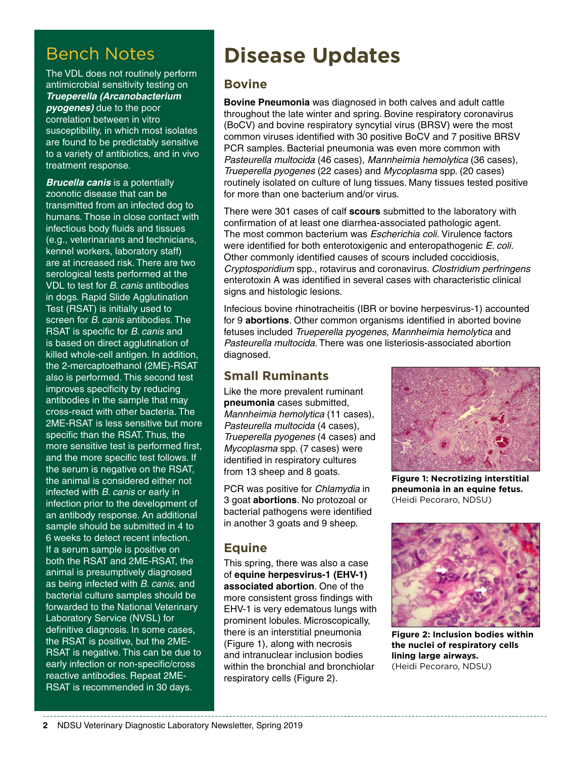## Bench Notes

The VDL does not routinely perform antimicrobial sensitivity testing on *Trueperella (Arcanobacterium pyogenes)* due to the poor correlation between in vitro susceptibility, in which most isolates are found to be predictably sensitive to a variety of antibiotics, and in vivo treatment response.

*Brucella canis* is a potentially zoonotic disease that can be transmitted from an infected dog to humans. Those in close contact with infectious body fluids and tissues (e.g., veterinarians and technicians, kennel workers, laboratory staff) are at increased risk. There are two serological tests performed at the VDL to test for *B. canis* antibodies in dogs. Rapid Slide Agglutination Test (RSAT) is initially used to screen for *B. canis* antibodies. The RSAT is specific for *B. canis* and is based on direct agglutination of killed whole-cell antigen. In addition, the 2-mercaptoethanol (2ME)-RSAT also is performed. This second test improves specificity by reducing antibodies in the sample that may cross-react with other bacteria. The 2ME-RSAT is less sensitive but more specific than the RSAT. Thus, the more sensitive test is performed first, and the more specific test follows. If the serum is negative on the RSAT, the animal is considered either not infected with *B. canis* or early in infection prior to the development of an antibody response. An additional sample should be submitted in 4 to 6 weeks to detect recent infection. If a serum sample is positive on both the RSAT and 2ME-RSAT, the animal is presumptively diagnosed as being infected with *B. canis*, and bacterial culture samples should be forwarded to the National Veterinary Laboratory Service (NVSL) for definitive diagnosis. In some cases, the RSAT is positive, but the 2ME-RSAT is negative. This can be due to early infection or non-specific/cross reactive antibodies. Repeat 2ME-RSAT is recommended in 30 days.

# **Disease Updates**

#### **Bovine**

**Bovine Pneumonia** was diagnosed in both calves and adult cattle throughout the late winter and spring. Bovine respiratory coronavirus (BoCV) and bovine respiratory syncytial virus (BRSV) were the most common viruses identified with 30 positive BoCV and 7 positive BRSV PCR samples. Bacterial pneumonia was even more common with *Pasteurella multocida* (46 cases), *Mannheimia hemolytica* (36 cases), *Trueperella pyogenes* (22 cases) and *Mycoplasma* spp. (20 cases) routinely isolated on culture of lung tissues. Many tissues tested positive for more than one bacterium and/or virus.

There were 301 cases of calf **scours** submitted to the laboratory with confirmation of at least one diarrhea-associated pathologic agent. The most common bacterium was *Escherichia coli.* Virulence factors were identified for both enterotoxigenic and enteropathogenic *E. coli.* Other commonly identified causes of scours included coccidiosis, *Cryptosporidium* spp., rotavirus and coronavirus. *Clostridium perfringens*  enterotoxin A was identified in several cases with characteristic clinical signs and histologic lesions.

Infecious bovine rhinotracheitis (IBR or bovine herpesvirus-1) accounted for 9 **abortions**. Other common organisms identified in aborted bovine fetuses included *Trueperella pyogenes*, *Mannheimia hemolytica* and *Pasteurella multocida*. There was one listeriosis-associated abortion diagnosed.

### **Small Ruminants**

Like the more prevalent ruminant **pneumonia** cases submitted, *Mannheimia hemolytica* (11 cases), *Pasteurella multocida* (4 cases), *Trueperella pyogenes* (4 cases) and *Mycoplasma* spp. (7 cases) were identified in respiratory cultures from 13 sheep and 8 goats.

PCR was positive for *Chlamydia* in 3 goat **abortions**. No protozoal or bacterial pathogens were identified in another 3 goats and 9 sheep.

### **Equine**

This spring, there was also a case of **equine herpesvirus-1 (EHV-1) associated abortion**. One of the more consistent gross findings with EHV-1 is very edematous lungs with prominent lobules. Microscopically, there is an interstitial pneumonia (Figure 1), along with necrosis and intranuclear inclusion bodies within the bronchial and bronchiolar respiratory cells (Figure 2).



**Figure 1: Necrotizing interstitial pneumonia in an equine fetus.**  (Heidi Pecoraro, NDSU)



**Figure 2: Inclusion bodies within the nuclei of respiratory cells lining large airways.**  (Heidi Pecoraro, NDSU)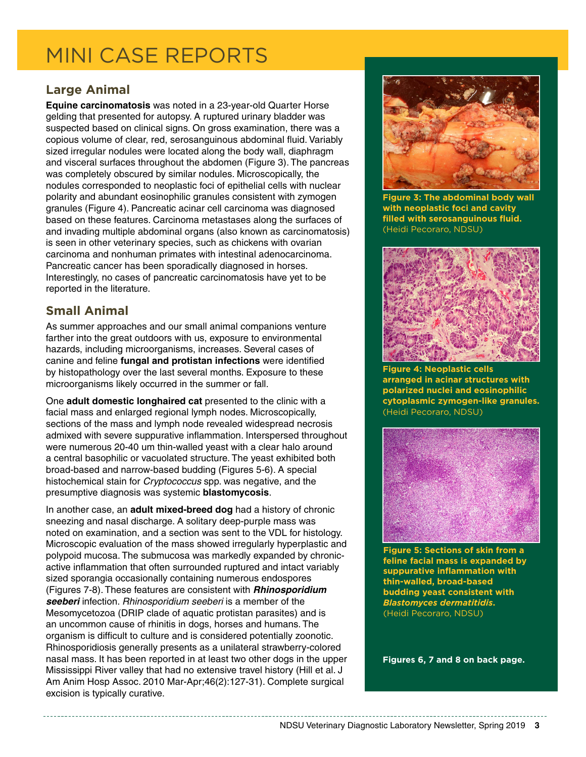# MINI CASE REPORTS

### **Large Animal**

**Equine carcinomatosis** was noted in a 23-year-old Quarter Horse gelding that presented for autopsy. A ruptured urinary bladder was suspected based on clinical signs. On gross examination, there was a copious volume of clear, red, serosanguinous abdominal fluid. Variably sized irregular nodules were located along the body wall, diaphragm and visceral surfaces throughout the abdomen (Figure 3). The pancreas was completely obscured by similar nodules. Microscopically, the nodules corresponded to neoplastic foci of epithelial cells with nuclear polarity and abundant eosinophilic granules consistent with zymogen granules (Figure 4). Pancreatic acinar cell carcinoma was diagnosed based on these features. Carcinoma metastases along the surfaces of and invading multiple abdominal organs (also known as carcinomatosis) is seen in other veterinary species, such as chickens with ovarian carcinoma and nonhuman primates with intestinal adenocarcinoma. Pancreatic cancer has been sporadically diagnosed in horses. Interestingly, no cases of pancreatic carcinomatosis have yet to be reported in the literature.

## **Small Animal**

As summer approaches and our small animal companions venture farther into the great outdoors with us, exposure to environmental hazards, including microorganisms, increases. Several cases of canine and feline **fungal and protistan infections** were identified by histopathology over the last several months. Exposure to these microorganisms likely occurred in the summer or fall.

One **adult domestic longhaired cat** presented to the clinic with a facial mass and enlarged regional lymph nodes. Microscopically, sections of the mass and lymph node revealed widespread necrosis admixed with severe suppurative inflammation. Interspersed throughout were numerous 20-40 um thin-walled yeast with a clear halo around a central basophilic or vacuolated structure. The yeast exhibited both broad-based and narrow-based budding (Figures 5-6). A special histochemical stain for *Cryptococcus* spp. was negative, and the presumptive diagnosis was systemic **blastomycosis**.

In another case, an **adult mixed-breed dog** had a history of chronic sneezing and nasal discharge. A solitary deep-purple mass was noted on examination, and a section was sent to the VDL for histology. Microscopic evaluation of the mass showed irregularly hyperplastic and polypoid mucosa. The submucosa was markedly expanded by chronicactive inflammation that often surrounded ruptured and intact variably sized sporangia occasionally containing numerous endospores (Figures 7-8). These features are consistent with *Rhinosporidium seeberi* infection. *Rhinosporidium seeberi* is a member of the Mesomycetozoa (DRIP clade of aquatic protistan parasites) and is an uncommon cause of rhinitis in dogs, horses and humans. The organism is difficult to culture and is considered potentially zoonotic. Rhinosporidiosis generally presents as a unilateral strawberry-colored nasal mass. It has been reported in at least two other dogs in the upper Mississippi River valley that had no extensive travel history (Hill et al. J Am Anim Hosp Assoc. 2010 Mar-Apr;46(2):127-31). Complete surgical excision is typically curative.



**Figure 3: The abdominal body wall with neoplastic foci and cavity filled with serosanguinous fluid.**  (Heidi Pecoraro, NDSU)



**Figure 4: Neoplastic cells arranged in acinar structures with polarized nuclei and eosinophilic cytoplasmic zymogen-like granules.**  (Heidi Pecoraro, NDSU)



**Figure 5: Sections of skin from a feline facial mass is expanded by suppurative inflammation with thin-walled, broad-based budding yeast consistent with**  *Blastomyces dermatitidis***.**  (Heidi Pecoraro, NDSU)

**Figures 6, 7 and 8 on back page.**